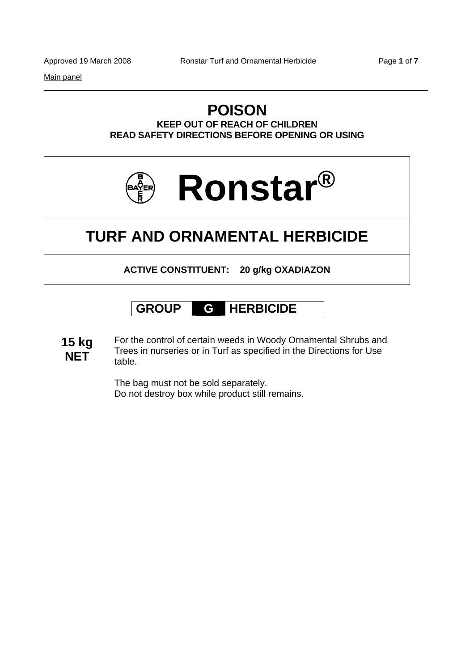Main panel

# **POISON**

\_\_\_\_\_\_\_\_\_\_\_\_\_\_\_\_\_\_\_\_\_\_\_\_\_\_\_\_\_\_\_\_\_\_\_\_\_\_\_\_\_\_\_\_\_\_\_\_\_\_\_\_\_\_\_\_\_\_\_\_\_\_\_\_\_\_\_\_\_\_\_\_\_\_\_\_\_\_\_\_\_

**KEEP OUT OF REACH OF CHILDREN READ SAFETY DIRECTIONS BEFORE OPENING OR USING** 



# **TURF AND ORNAMENTAL HERBICIDE**

**ACTIVE CONSTITUENT: 20 g/kg OXADIAZON** 

# **GROUP G HERBICIDE**

**15 kg NET** For the control of certain weeds in Woody Ornamental Shrubs and Trees in nurseries or in Turf as specified in the Directions for Use table.

> The bag must not be sold separately. Do not destroy box while product still remains.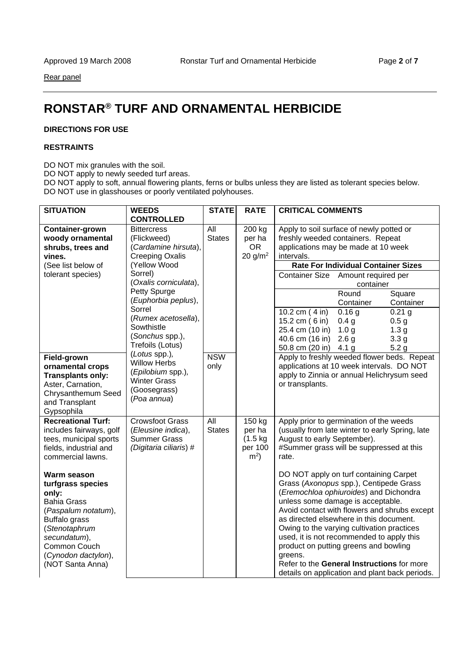Rear panel

# **RONSTAR® TURF AND ORNAMENTAL HERBICIDE**

### **DIRECTIONS FOR USE**

#### **RESTRAINTS**

DO NOT mix granules with the soil.

DO NOT apply to newly seeded turf areas.

DO NOT apply to soft, annual flowering plants, ferns or bulbs unless they are listed as tolerant species below. DO NOT use in glasshouses or poorly ventilated polyhouses.

| <b>SITUATION</b>                                                                                                                                                                                    | <b>WEEDS</b>                                                                                                    | <b>STATE</b>                      | <b>RATE</b>                                                 | <b>CRITICAL COMMENTS</b>                                                                                                                                                                                                                                                                                                                                                                                                                                                                                  |  |  |
|-----------------------------------------------------------------------------------------------------------------------------------------------------------------------------------------------------|-----------------------------------------------------------------------------------------------------------------|-----------------------------------|-------------------------------------------------------------|-----------------------------------------------------------------------------------------------------------------------------------------------------------------------------------------------------------------------------------------------------------------------------------------------------------------------------------------------------------------------------------------------------------------------------------------------------------------------------------------------------------|--|--|
|                                                                                                                                                                                                     | <b>CONTROLLED</b>                                                                                               |                                   |                                                             |                                                                                                                                                                                                                                                                                                                                                                                                                                                                                                           |  |  |
| Container-grown<br>woody ornamental<br>shrubs, trees and<br>vines.                                                                                                                                  | <b>Bittercress</b><br>(Flickweed)<br>(Cardamine hirsuta),<br><b>Creeping Oxalis</b>                             | $\overline{All}$<br><b>States</b> | 200 kg<br>per ha<br><b>OR</b><br>20 g/m <sup>2</sup>        | Apply to soil surface of newly potted or<br>freshly weeded containers. Repeat<br>applications may be made at 10 week<br>intervals.                                                                                                                                                                                                                                                                                                                                                                        |  |  |
| (See list below of                                                                                                                                                                                  | (Yellow Wood                                                                                                    |                                   |                                                             | <b>Rate For Individual Container Sizes</b>                                                                                                                                                                                                                                                                                                                                                                                                                                                                |  |  |
| tolerant species)                                                                                                                                                                                   | Sorrel)<br>(Oxalis corniculata),                                                                                |                                   |                                                             | <b>Container Size</b><br>Amount required per<br>container                                                                                                                                                                                                                                                                                                                                                                                                                                                 |  |  |
|                                                                                                                                                                                                     | Petty Spurge<br>(Euphorbia peplus),                                                                             |                                   |                                                             | Round<br>Square<br>Container<br>Container                                                                                                                                                                                                                                                                                                                                                                                                                                                                 |  |  |
|                                                                                                                                                                                                     | Sorrel<br>(Rumex acetosella),<br>Sowthistle<br>(Sonchus spp.),<br>Trefoils (Lotus)                              |                                   |                                                             | 0.16 g<br>10.2 cm (4 in)<br>$0.21$ g<br>15.2 cm (6 in)<br>0.4 <sub>g</sub><br>0.5 <sub>g</sub><br>25.4 cm (10 in)<br>1.0 <sub>g</sub><br>1.3 <sub>g</sub><br>40.6 cm (16 in)<br>2.6 <sub>g</sub><br>3.3 <sub>g</sub><br>50.8 cm (20 in)<br>4.1 <sub>g</sub><br>5.2 <sub>g</sub>                                                                                                                                                                                                                           |  |  |
| Field-grown<br>ornamental crops<br><b>Transplants only:</b><br>Aster, Carnation,<br>Chrysanthemum Seed<br>and Transplant<br>Gypsophila                                                              | (Lotus spp.),<br><b>Willow Herbs</b><br>(Epilobium spp.),<br><b>Winter Grass</b><br>(Goosegrass)<br>(Poa annua) | <b>NSW</b><br>only                |                                                             | Apply to freshly weeded flower beds. Repeat<br>applications at 10 week intervals. DO NOT<br>apply to Zinnia or annual Helichrysum seed<br>or transplants.                                                                                                                                                                                                                                                                                                                                                 |  |  |
| <b>Recreational Turf:</b><br>includes fairways, golf<br>tees, municipal sports<br>fields, industrial and<br>commercial lawns.                                                                       | <b>Crowsfoot Grass</b><br>(Eleusine indica),<br><b>Summer Grass</b><br>(Digitaria ciliaris) #                   | All<br><b>States</b>              | 150 kg<br>per ha<br>$(1.5 \text{ kg})$<br>per 100<br>$m2$ ) | Apply prior to germination of the weeds<br>(usually from late winter to early Spring, late<br>August to early September).<br>#Summer grass will be suppressed at this<br>rate.                                                                                                                                                                                                                                                                                                                            |  |  |
| Warm season<br>turfgrass species<br>only:<br><b>Bahia Grass</b><br>(Paspalum notatum),<br>Buffalo grass<br>(Stenotaphrum<br>secundatum),<br>Common Couch<br>(Cynodon dactylon),<br>(NOT Santa Anna) |                                                                                                                 |                                   |                                                             | DO NOT apply on turf containing Carpet<br>Grass (Axonopus spp.), Centipede Grass<br>(Eremochloa ophiuroides) and Dichondra<br>unless some damage is acceptable.<br>Avoid contact with flowers and shrubs except<br>as directed elsewhere in this document.<br>Owing to the varying cultivation practices<br>used, it is not recommended to apply this<br>product on putting greens and bowling<br>greens.<br>Refer to the General Instructions for more<br>details on application and plant back periods. |  |  |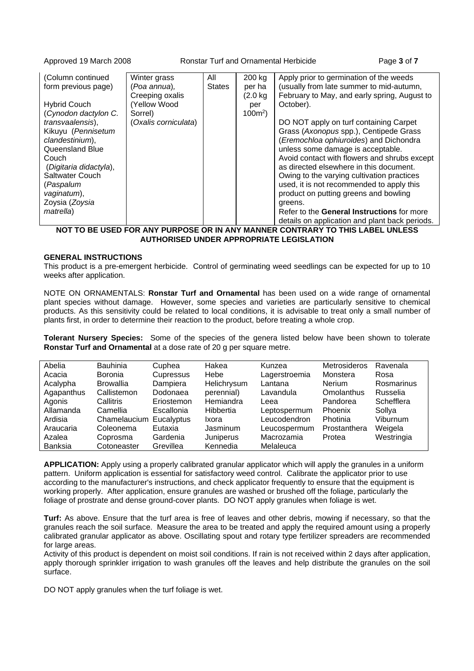Approved 19 March 2008 Ronstar Turf and Ornamental Herbicide Page **3** of **7**

| (Column continued      | Winter grass         | All           | 200 kg             | Apply prior to germination of the weeds        |
|------------------------|----------------------|---------------|--------------------|------------------------------------------------|
| form previous page)    | (Poa annua),         | <b>States</b> | per ha             | (usually from late summer to mid-autumn,       |
|                        | Creeping oxalis      |               | $(2.0 \text{ kg})$ | February to May, and early spring, August to   |
| <b>Hybrid Couch</b>    | Yellow Wood          |               | per                | October).                                      |
| (Cynodon dactylon C.   | Sorrel)              |               | $100m^2$ )         |                                                |
| transvaalensis),       | (Oxalis corniculata) |               |                    | DO NOT apply on turf containing Carpet         |
| Kikuyu (Pennisetum     |                      |               |                    | Grass (Axonopus spp.), Centipede Grass         |
| clandestinium),        |                      |               |                    | (Eremochloa ophiuroides) and Dichondra         |
| Queensland Blue        |                      |               |                    | unless some damage is acceptable.              |
| Couch                  |                      |               |                    | Avoid contact with flowers and shrubs except   |
| (Digitaria didactyla), |                      |               |                    | as directed elsewhere in this document.        |
| Saltwater Couch        |                      |               |                    | Owing to the varying cultivation practices     |
| (Paspalum              |                      |               |                    | used, it is not recommended to apply this      |
| vaginatum),            |                      |               |                    | product on putting greens and bowling          |
| Zoysia (Zoysia         |                      |               |                    | greens.                                        |
| matrella)              |                      |               |                    | Refer to the General Instructions for more     |
|                        |                      |               |                    | details on application and plant back periods. |

**NOT TO BE USED FOR ANY PURPOSE OR IN ANY MANNER CONTRARY TO THIS LABEL UNLESS AUTHORISED UNDER APPROPRIATE LEGISLATION**

#### **GENERAL INSTRUCTIONS**

This product is a pre-emergent herbicide. Control of germinating weed seedlings can be expected for up to 10 weeks after application.

NOTE ON ORNAMENTALS: **Ronstar Turf and Ornamental** has been used on a wide range of ornamental plant species without damage. However, some species and varieties are particularly sensitive to chemical products. As this sensitivity could be related to local conditions, it is advisable to treat only a small number of plants first, in order to determine their reaction to the product, before treating a whole crop.

**Tolerant Nursery Species:** Some of the species of the genera listed below have been shown to tolerate **Ronstar Turf and Ornamental** at a dose rate of 20 g per square metre.

|            | <b>Bauhinia</b>  |            |             |               | <b>Metrosideros</b> |            |
|------------|------------------|------------|-------------|---------------|---------------------|------------|
| Abelia     |                  | Cuphea     | Hakea       | Kunzea        |                     | Ravenala   |
| Acacia     | Boronia          | Cupressus  | Hebe        | Lagerstroemia | Monstera            | Rosa       |
| Acalypha   | <b>Browallia</b> | Dampiera   | Helichrysum | Lantana       | <b>Nerium</b>       | Rosmarinus |
| Agapanthus | Callistemon      | Dodonaea   | perennial)  | Lavandula     | <b>Omolanthus</b>   | Russelia   |
| Agonis     | Callitris        | Eriostemon | Hemiandra   | Leea          | Pandorea            | Schefflera |
| Allamanda  | Camellia         | Escallonia | Hibbertia   | Leptospermum  | Phoenix             | Sollya     |
| Ardisia    | Chamelaucium     | Eucalyptus | Ixora       | Leucodendron  | Photinia            | Viburnum   |
| Araucaria  | Coleonema        | Eutaxia    | Jasminum    | Leucospermum  | Prostanthera        | Weigela    |
| Azalea     | Coprosma         | Gardenia   | Juniperus   | Macrozamia    | Protea              | Westringia |
| Banksia    | Cotoneaster      | Grevillea  | Kennedia    | Melaleuca     |                     |            |

**APPLICATION:** Apply using a properly calibrated granular applicator which will apply the granules in a uniform pattern. Uniform application is essential for satisfactory weed control. Calibrate the applicator prior to use according to the manufacturer's instructions, and check applicator frequently to ensure that the equipment is working properly. After application, ensure granules are washed or brushed off the foliage, particularly the foliage of prostrate and dense ground-cover plants. DO NOT apply granules when foliage is wet.

**Turf:** As above. Ensure that the turf area is free of leaves and other debris, mowing if necessary, so that the granules reach the soil surface. Measure the area to be treated and apply the required amount using a properly calibrated granular applicator as above. Oscillating spout and rotary type fertilizer spreaders are recommended for large areas.

Activity of this product is dependent on moist soil conditions. If rain is not received within 2 days after application, apply thorough sprinkler irrigation to wash granules off the leaves and help distribute the granules on the soil surface.

DO NOT apply granules when the turf foliage is wet.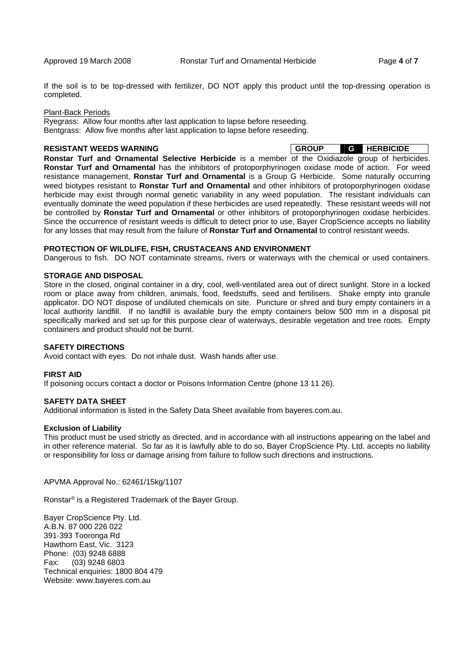If the soil is to be top-dressed with fertilizer, DO NOT apply this product until the top-dressing operation is completed.

#### Plant-Back Periods

Ryegrass: Allow four months after last application to lapse before reseeding. Bentgrass: Allow five months after last application to lapse before reseeding.

**RESISTANT WEEDS WARNING GROUP GETS GROUP GETS GROUP** 

**Ronstar Turf and Ornamental Selective Herbicide** is a member of the Oxidiazole group of herbicides. **Ronstar Turf and Ornamental** has the inhibitors of protoporphyrinogen oxidase mode of action. For weed resistance management, **Ronstar Turf and Ornamental** is a Group G Herbicide. Some naturally occurring weed biotypes resistant to **Ronstar Turf and Ornamental** and other inhibitors of protoporphyrinogen oxidase herbicide may exist through normal genetic variability in any weed population. The resistant individuals can eventually dominate the weed population if these herbicides are used repeatedly. These resistant weeds will not be controlled by **Ronstar Turf and Ornamental** or other inhibitors of protoporphyrinogen oxidase herbicides. Since the occurrence of resistant weeds is difficult to detect prior to use, Bayer CropScience accepts no liability for any losses that may result from the failure of **Ronstar Turf and Ornamental** to control resistant weeds.

#### **PROTECTION OF WILDLIFE, FISH, CRUSTACEANS AND ENVIRONMENT**

Dangerous to fish. DO NOT contaminate streams, rivers or waterways with the chemical or used containers.

#### **STORAGE AND DISPOSAL**

Store in the closed, original container in a dry, cool, well-ventilated area out of direct sunlight. Store in a locked room or place away from children, animals, food, feedstuffs, seed and fertilisers. Shake empty into granule applicator. DO NOT dispose of undiluted chemicals on site. Puncture or shred and bury empty containers in a local authority landfill. If no landfill is available bury the empty containers below 500 mm in a disposal pit specifically marked and set up for this purpose clear of waterways, desirable vegetation and tree roots. Empty containers and product should not be burnt.

#### **SAFETY DIRECTIONS**

Avoid contact with eyes. Do not inhale dust. Wash hands after use.

#### **FIRST AID**

If poisoning occurs contact a doctor or Poisons Information Centre (phone 13 11 26).

#### **SAFETY DATA SHEET**

Additional information is listed in the Safety Data Sheet available from bayeres.com.au.

#### **Exclusion of Liability**

This product must be used strictly as directed, and in accordance with all instructions appearing on the label and in other reference material. So far as it is lawfully able to do so, Bayer CropScience Pty. Ltd. accepts no liability or responsibility for loss or damage arising from failure to follow such directions and instructions.

APVMA Approval No.: 62461/15kg/1107

Ronstar® is a Registered Trademark of the Bayer Group.

Bayer CropScience Pty. Ltd. A.B.N. 87 000 226 022 391-393 Tooronga Rd Hawthorn East, Vic. 3123 Phone: (03) 9248 6888 Fax: (03) 9248 6803 Technical enquiries: 1800 804 479 Website: www.bayeres.com.au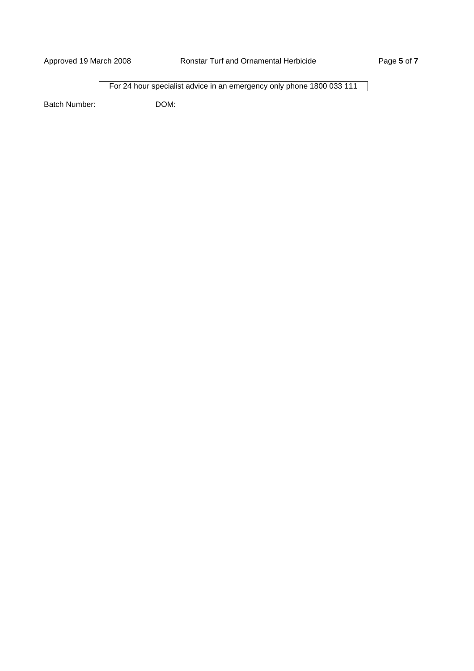For 24 hour specialist advice in an emergency only phone 1800 033 111

Batch Number: DOM: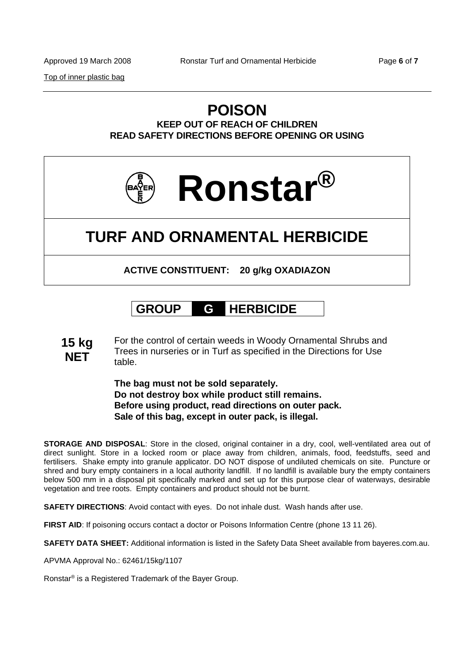Top of inner plastic bag

### **POISON KEEP OUT OF REACH OF CHILDREN READ SAFETY DIRECTIONS BEFORE OPENING OR USING**



# **TURF AND ORNAMENTAL HERBICIDE**

**ACTIVE CONSTITUENT: 20 g/kg OXADIAZON** 

# **GROUP G HERBICIDE**

**15 kg NET** For the control of certain weeds in Woody Ornamental Shrubs and Trees in nurseries or in Turf as specified in the Directions for Use table.

> **The bag must not be sold separately. Do not destroy box while product still remains. Before using product, read directions on outer pack. Sale of this bag, except in outer pack, is illegal.**

**STORAGE AND DISPOSAL**: Store in the closed, original container in a dry, cool, well-ventilated area out of direct sunlight. Store in a locked room or place away from children, animals, food, feedstuffs, seed and fertilisers. Shake empty into granule applicator. DO NOT dispose of undiluted chemicals on site. Puncture or shred and bury empty containers in a local authority landfill. If no landfill is available bury the empty containers below 500 mm in a disposal pit specifically marked and set up for this purpose clear of waterways, desirable vegetation and tree roots. Empty containers and product should not be burnt.

**SAFETY DIRECTIONS**: Avoid contact with eyes. Do not inhale dust. Wash hands after use.

**FIRST AID:** If poisoning occurs contact a doctor or Poisons Information Centre (phone 13 11 26).

**SAFETY DATA SHEET:** Additional information is listed in the Safety Data Sheet available from bayeres.com.au.

APVMA Approval No.: 62461/15kg/1107

Ronstar® is a Registered Trademark of the Bayer Group.